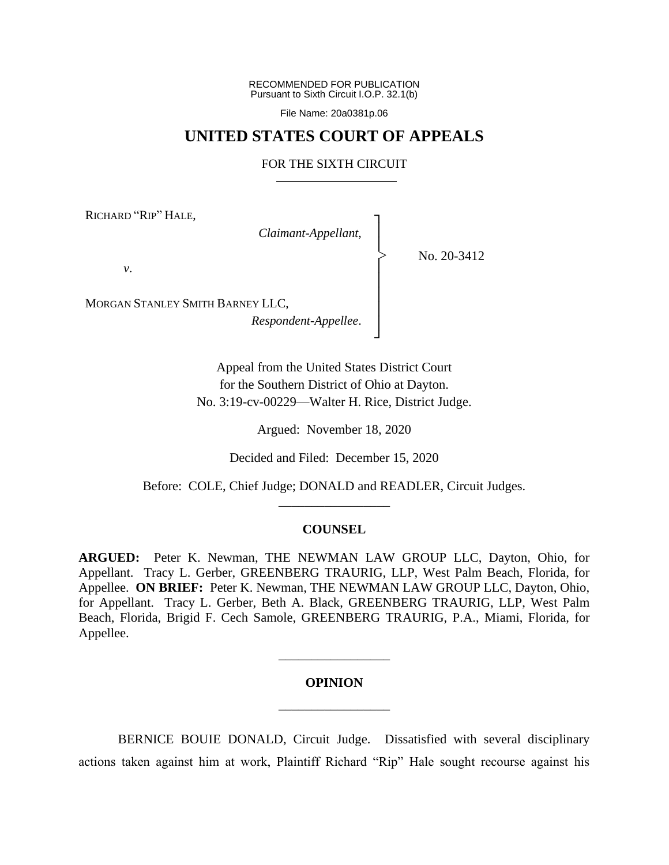RECOMMENDED FOR PUBLICATION Pursuant to Sixth Circuit I.O.P. 32.1(b)

File Name: 20a0381p.06

# **UNITED STATES COURT OF APPEALS**

# FOR THE SIXTH CIRCUIT

┐ │ │ │ │ │ │ │ ┘

|<br>|<br>|

RICHARD "RIP" HALE,

*Claimant-Appellant*,

No. 20-3412

*v*.

MORGAN STANLEY SMITH BARNEY LLC,

*Respondent-Appellee*.

Appeal from the United States District Court for the Southern District of Ohio at Dayton. No. 3:19-cv-00229—Walter H. Rice, District Judge.

Argued: November 18, 2020

Decided and Filed: December 15, 2020

Before: COLE, Chief Judge; DONALD and READLER, Circuit Judges. \_\_\_\_\_\_\_\_\_\_\_\_\_\_\_\_\_

### **COUNSEL**

**ARGUED:** Peter K. Newman, THE NEWMAN LAW GROUP LLC, Dayton, Ohio, for Appellant. Tracy L. Gerber, GREENBERG TRAURIG, LLP, West Palm Beach, Florida, for Appellee. **ON BRIEF:** Peter K. Newman, THE NEWMAN LAW GROUP LLC, Dayton, Ohio, for Appellant. Tracy L. Gerber, Beth A. Black, GREENBERG TRAURIG, LLP, West Palm Beach, Florida, Brigid F. Cech Samole, GREENBERG TRAURIG, P.A., Miami, Florida, for Appellee.

# **OPINION** \_\_\_\_\_\_\_\_\_\_\_\_\_\_\_\_\_

\_\_\_\_\_\_\_\_\_\_\_\_\_\_\_\_\_

BERNICE BOUIE DONALD, Circuit Judge.Dissatisfied with several disciplinary actions taken against him at work, Plaintiff Richard "Rip" Hale sought recourse against his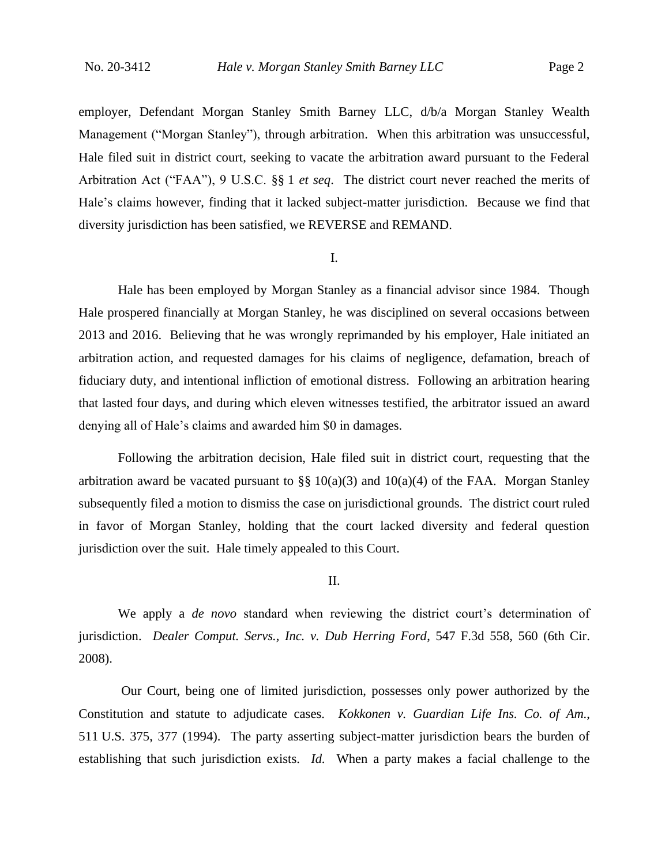employer, Defendant Morgan Stanley Smith Barney LLC, d/b/a Morgan Stanley Wealth Management ("Morgan Stanley"), through arbitration. When this arbitration was unsuccessful, Hale filed suit in district court, seeking to vacate the arbitration award pursuant to the Federal Arbitration Act ("FAA"), 9 U.S.C. §§ 1 *et seq*. The district court never reached the merits of Hale's claims however, finding that it lacked subject-matter jurisdiction. Because we find that diversity jurisdiction has been satisfied, we REVERSE and REMAND.

#### I.

Hale has been employed by Morgan Stanley as a financial advisor since 1984. Though Hale prospered financially at Morgan Stanley, he was disciplined on several occasions between 2013 and 2016. Believing that he was wrongly reprimanded by his employer, Hale initiated an arbitration action, and requested damages for his claims of negligence, defamation, breach of fiduciary duty, and intentional infliction of emotional distress. Following an arbitration hearing that lasted four days, and during which eleven witnesses testified, the arbitrator issued an award denying all of Hale's claims and awarded him \$0 in damages.

Following the arbitration decision, Hale filed suit in district court, requesting that the arbitration award be vacated pursuant to  $\S\S 10(a)(3)$  and  $10(a)(4)$  of the FAA. Morgan Stanley subsequently filed a motion to dismiss the case on jurisdictional grounds. The district court ruled in favor of Morgan Stanley, holding that the court lacked diversity and federal question jurisdiction over the suit. Hale timely appealed to this Court.

## II.

We apply a *de novo* standard when reviewing the district court's determination of jurisdiction. *Dealer Comput. Servs., Inc. v. Dub Herring Ford*, 547 F.3d 558, 560 (6th Cir. 2008).

Our Court, being one of limited jurisdiction, possesses only power authorized by the Constitution and statute to adjudicate cases. *Kokkonen v. Guardian Life Ins. Co. of Am.*, 511 U.S. 375, 377 (1994). The party asserting subject-matter jurisdiction bears the burden of establishing that such jurisdiction exists. *Id.* When a party makes a facial challenge to the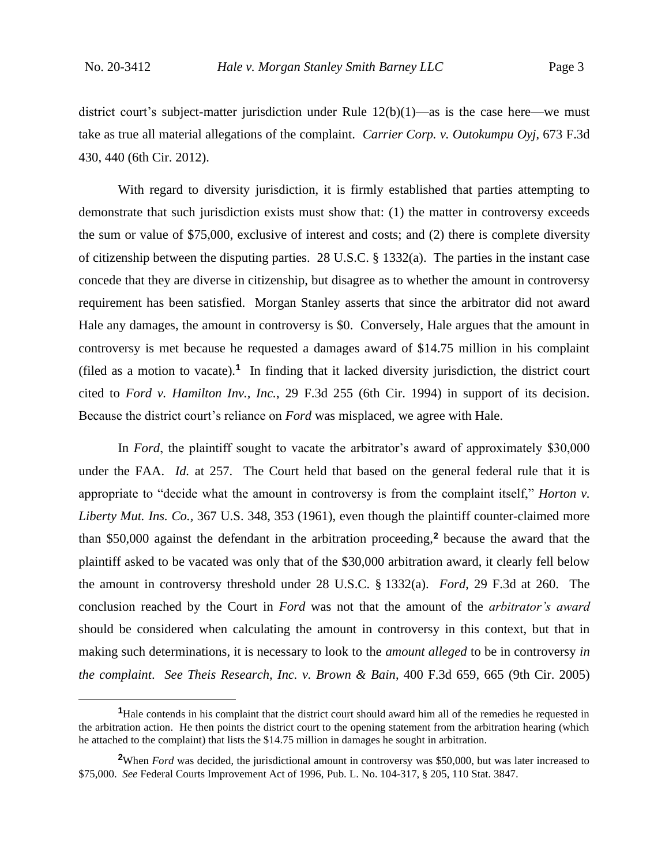district court's subject-matter jurisdiction under Rule  $12(b)(1)$ —as is the case here—we must take as true all material allegations of the complaint. *Carrier Corp. v. Outokumpu Oyj*, 673 F.3d 430, 440 (6th Cir. 2012).

With regard to diversity jurisdiction, it is firmly established that parties attempting to demonstrate that such jurisdiction exists must show that: (1) the matter in controversy exceeds the sum or value of \$75,000, exclusive of interest and costs; and (2) there is complete diversity of citizenship between the disputing parties. 28 U.S.C. § 1332(a). The parties in the instant case concede that they are diverse in citizenship, but disagree as to whether the amount in controversy requirement has been satisfied. Morgan Stanley asserts that since the arbitrator did not award Hale any damages, the amount in controversy is \$0. Conversely, Hale argues that the amount in controversy is met because he requested a damages award of \$14.75 million in his complaint (filed as a motion to vacate).**<sup>1</sup>** In finding that it lacked diversity jurisdiction, the district court cited to *Ford v. Hamilton Inv., Inc.*, 29 F.3d 255 (6th Cir. 1994) in support of its decision. Because the district court's reliance on *Ford* was misplaced, we agree with Hale.

In *Ford*, the plaintiff sought to vacate the arbitrator's award of approximately \$30,000 under the FAA. *Id.* at 257. The Court held that based on the general federal rule that it is appropriate to "decide what the amount in controversy is from the complaint itself," *Horton v. Liberty Mut. Ins. Co.,* 367 U.S. 348, 353 (1961), even though the plaintiff counter-claimed more than \$50,000 against the defendant in the arbitration proceeding,**<sup>2</sup>** because the award that the plaintiff asked to be vacated was only that of the \$30,000 arbitration award, it clearly fell below the amount in controversy threshold under 28 U.S.C. § 1332(a). *Ford*, 29 F.3d at 260. The conclusion reached by the Court in *Ford* was not that the amount of the *arbitrator's award* should be considered when calculating the amount in controversy in this context, but that in making such determinations, it is necessary to look to the *amount alleged* to be in controversy *in the complaint*. *See Theis Research, Inc. v. Brown & Bain*, 400 F.3d 659, 665 (9th Cir. 2005)

**<sup>1</sup>**Hale contends in his complaint that the district court should award him all of the remedies he requested in the arbitration action. He then points the district court to the opening statement from the arbitration hearing (which he attached to the complaint) that lists the \$14.75 million in damages he sought in arbitration.

**<sup>2</sup>**When *Ford* was decided, the jurisdictional amount in controversy was \$50,000, but was later increased to \$75,000. *See* Federal Courts Improvement Act of 1996, Pub. L. No. 104-317, § 205, 110 Stat. 3847.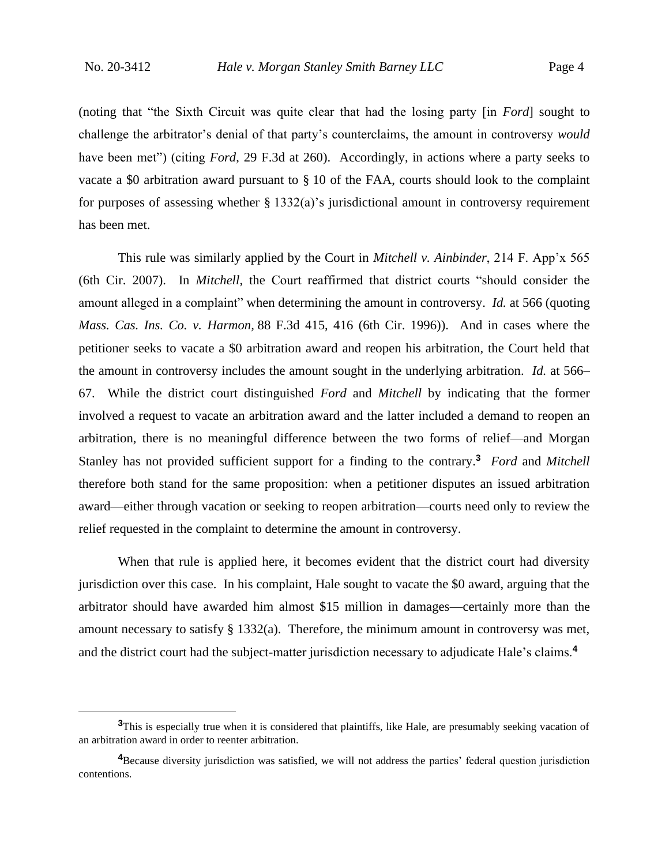(noting that "the Sixth Circuit was quite clear that had the losing party [in *Ford*] sought to challenge the arbitrator's denial of that party's counterclaims, the amount in controversy *would* have been met") (citing *Ford*, 29 F.3d at 260). Accordingly, in actions where a party seeks to vacate a \$0 arbitration award pursuant to § 10 of the FAA, courts should look to the complaint for purposes of assessing whether  $\S 1332(a)$ 's jurisdictional amount in controversy requirement has been met.

This rule was similarly applied by the Court in *Mitchell v. Ainbinder*, 214 F. App'x 565 (6th Cir. 2007). In *Mitchell*, the Court reaffirmed that district courts "should consider the amount alleged in a complaint" when determining the amount in controversy. *Id.* at 566 (quoting *Mass. Cas. Ins. Co. v. Harmon,* 88 F.3d 415, 416 (6th Cir. 1996)). And in cases where the petitioner seeks to vacate a \$0 arbitration award and reopen his arbitration, the Court held that the amount in controversy includes the amount sought in the underlying arbitration. *Id.* at 566– 67. While the district court distinguished *Ford* and *Mitchell* by indicating that the former involved a request to vacate an arbitration award and the latter included a demand to reopen an arbitration, there is no meaningful difference between the two forms of relief—and Morgan Stanley has not provided sufficient support for a finding to the contrary.**<sup>3</sup>** *Ford* and *Mitchell* therefore both stand for the same proposition: when a petitioner disputes an issued arbitration award—either through vacation or seeking to reopen arbitration—courts need only to review the relief requested in the complaint to determine the amount in controversy.

When that rule is applied here, it becomes evident that the district court had diversity jurisdiction over this case. In his complaint, Hale sought to vacate the \$0 award, arguing that the arbitrator should have awarded him almost \$15 million in damages—certainly more than the amount necessary to satisfy  $\S 1332(a)$ . Therefore, the minimum amount in controversy was met, and the district court had the subject-matter jurisdiction necessary to adjudicate Hale's claims.**<sup>4</sup>**

<sup>&</sup>lt;sup>3</sup>This is especially true when it is considered that plaintiffs, like Hale, are presumably seeking vacation of an arbitration award in order to reenter arbitration.

<sup>&</sup>lt;sup>4</sup>Because diversity jurisdiction was satisfied, we will not address the parties' federal question jurisdiction contentions.